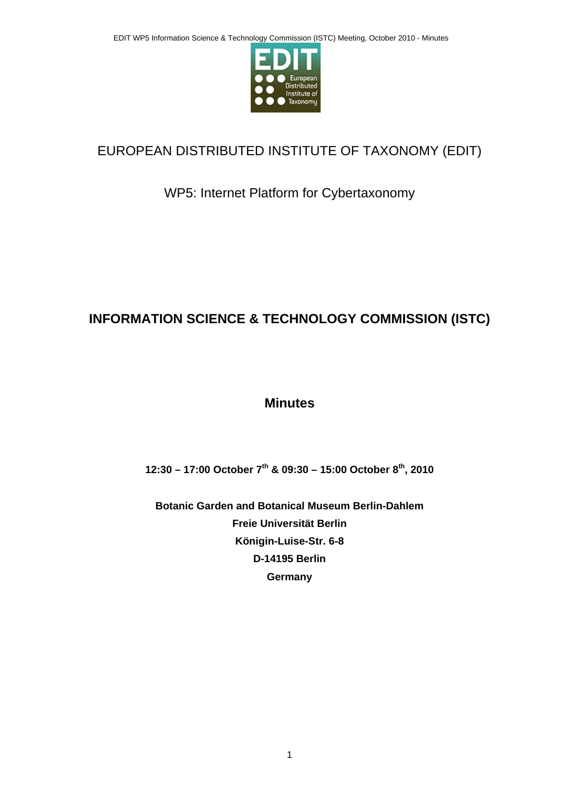

# EUROPEAN DISTRIBUTED INSTITUTE OF TAXONOMY (EDIT)

## WP5: Internet Platform for Cybertaxonomy

# **INFORMATION SCIENCE & TECHNOLOGY COMMISSION (ISTC)**

## **Minutes**

**12:30 – 17:00 October 7th & 09:30 – 15:00 October 8th, 2010** 

**Botanic Garden and Botanical Museum Berlin-Dahlem Freie Universität Berlin Königin-Luise-Str. 6-8 D-14195 Berlin Germany**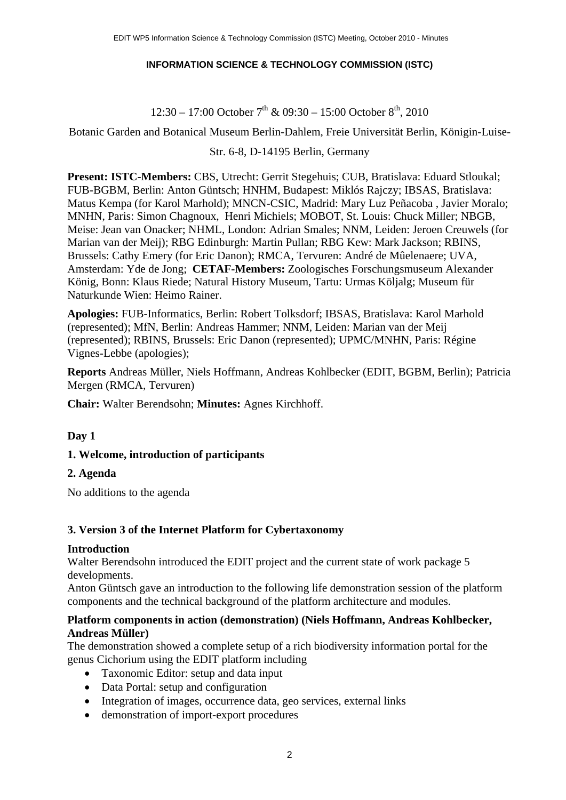#### **INFORMATION SCIENCE & TECHNOLOGY COMMISSION (ISTC)**

#### $12:30 - 17:00$  October  $7<sup>th</sup>$  &  $09:30 - 15:00$  October  $8<sup>th</sup>$ , 2010

Botanic Garden and Botanical Museum Berlin-Dahlem, Freie Universität Berlin, Königin-Luise-

#### Str. 6-8, D-14195 Berlin, Germany

**Present: ISTC-Members:** CBS, Utrecht: Gerrit Stegehuis; CUB, Bratislava: Eduard Stloukal; FUB-BGBM, Berlin: Anton Güntsch; HNHM, Budapest: Miklós Rajczy; IBSAS, Bratislava: Matus Kempa (for Karol Marhold); MNCN-CSIC, Madrid: Mary Luz Peñacoba , Javier Moralo; MNHN, Paris: Simon Chagnoux, Henri Michiels; MOBOT, St. Louis: Chuck Miller; NBGB, Meise: Jean van Onacker; NHML, London: Adrian Smales; NNM, Leiden: Jeroen Creuwels (for Marian van der Meij); RBG Edinburgh: Martin Pullan; RBG Kew: Mark Jackson; RBINS, Brussels: Cathy Emery (for Eric Danon); RMCA, Tervuren: André de Mûelenaere; UVA, Amsterdam: Yde de Jong; **CETAF-Members:** Zoologisches Forschungsmuseum Alexander König, Bonn: Klaus Riede; Natural History Museum, Tartu: Urmas Köljalg; Museum für Naturkunde Wien: Heimo Rainer.

**Apologies:** FUB-Informatics, Berlin: Robert Tolksdorf; IBSAS, Bratislava: Karol Marhold (represented); MfN, Berlin: Andreas Hammer; NNM, Leiden: Marian van der Meij (represented); RBINS, Brussels: Eric Danon (represented); UPMC/MNHN, Paris: Régine Vignes-Lebbe (apologies);

**Reports** Andreas Müller, Niels Hoffmann, Andreas Kohlbecker (EDIT, BGBM, Berlin); Patricia Mergen (RMCA, Tervuren)

**Chair:** Walter Berendsohn; **Minutes:** Agnes Kirchhoff.

#### **Day 1**

#### **1. Welcome, introduction of participants**

#### **2. Agenda**

No additions to the agenda

#### **3. Version 3 of the Internet Platform for Cybertaxonomy**

#### **Introduction**

Walter Berendsohn introduced the EDIT project and the current state of work package 5 developments.

Anton Güntsch gave an introduction to the following life demonstration session of the platform components and the technical background of the platform architecture and modules.

#### **Platform components in action (demonstration) (Niels Hoffmann, Andreas Kohlbecker, Andreas Müller)**

The demonstration showed a complete setup of a rich biodiversity information portal for the genus Cichorium using the EDIT platform including

- Taxonomic Editor: setup and data input
- Data Portal: setup and configuration
- Integration of images, occurrence data, geo services, external links
- demonstration of import-export procedures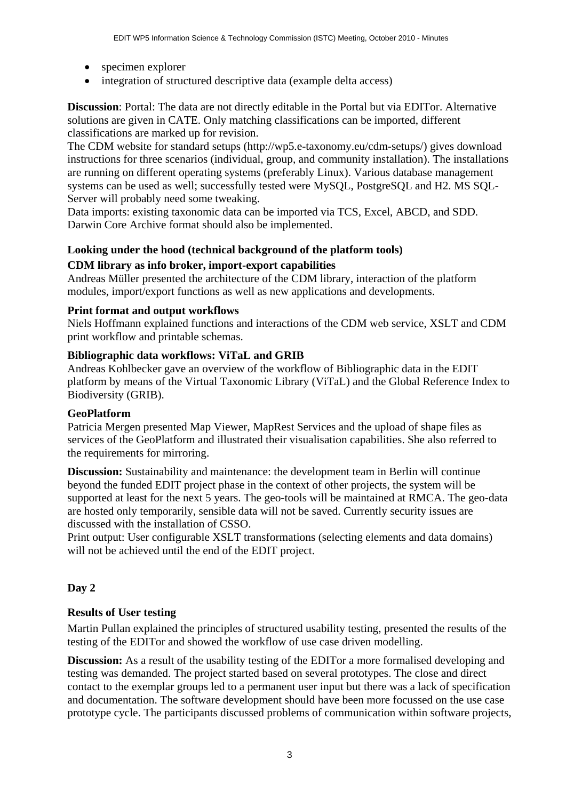- specimen explorer
- $\bullet$  integration of structured descriptive data (example delta access)

**Discussion**: Portal: The data are not directly editable in the Portal but via EDITor. Alternative solutions are given in CATE. Only matching classifications can be imported, different classifications are marked up for revision.

The CDM website for standard setups (http://wp5.e-taxonomy.eu/cdm-setups/) gives download instructions for three scenarios (individual, group, and community installation). The installations are running on different operating systems (preferably Linux). Various database management systems can be used as well; successfully tested were MySQL, PostgreSQL and H2. MS SQL-Server will probably need some tweaking.

Data imports: existing taxonomic data can be imported via TCS, Excel, ABCD, and SDD. Darwin Core Archive format should also be implemented.

## **Looking under the hood (technical background of the platform tools)**

#### **CDM library as info broker, import-export capabilities**

Andreas Müller presented the architecture of the CDM library, interaction of the platform modules, import/export functions as well as new applications and developments.

#### **Print format and output workflows**

Niels Hoffmann explained functions and interactions of the CDM web service, XSLT and CDM print workflow and printable schemas.

#### **Bibliographic data workflows: ViTaL and GRIB**

Andreas Kohlbecker gave an overview of the workflow of Bibliographic data in the EDIT platform by means of the Virtual Taxonomic Library (ViTaL) and the Global Reference Index to Biodiversity (GRIB).

#### **GeoPlatform**

Patricia Mergen presented Map Viewer, MapRest Services and the upload of shape files as services of the GeoPlatform and illustrated their visualisation capabilities. She also referred to the requirements for mirroring.

**Discussion:** Sustainability and maintenance: the development team in Berlin will continue beyond the funded EDIT project phase in the context of other projects, the system will be supported at least for the next 5 years. The geo-tools will be maintained at RMCA. The geo-data are hosted only temporarily, sensible data will not be saved. Currently security issues are discussed with the installation of CSSO.

Print output: User configurable XSLT transformations (selecting elements and data domains) will not be achieved until the end of the EDIT project.

## **Day 2**

## **Results of User testing**

Martin Pullan explained the principles of structured usability testing, presented the results of the testing of the EDITor and showed the workflow of use case driven modelling.

**Discussion:** As a result of the usability testing of the EDITor a more formalised developing and testing was demanded. The project started based on several prototypes. The close and direct contact to the exemplar groups led to a permanent user input but there was a lack of specification and documentation. The software development should have been more focussed on the use case prototype cycle. The participants discussed problems of communication within software projects,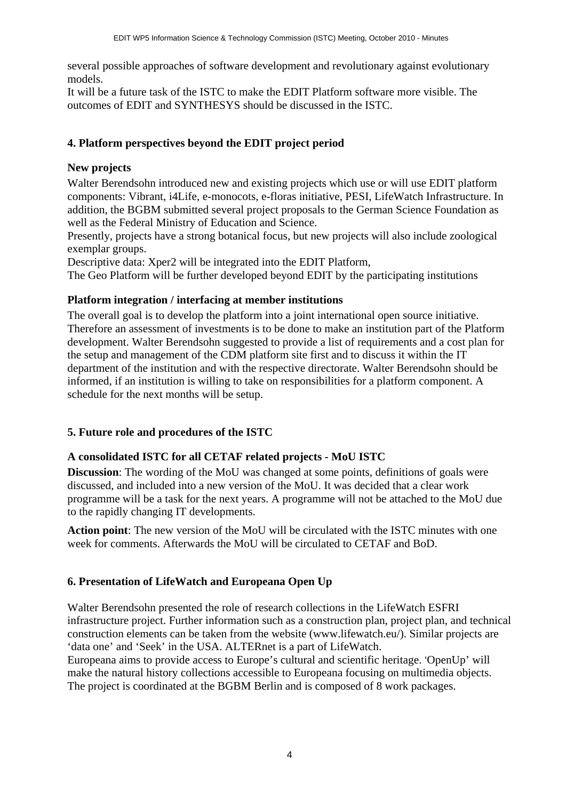several possible approaches of software development and revolutionary against evolutionary models.

It will be a future task of the ISTC to make the EDIT Platform software more visible. The outcomes of EDIT and SYNTHESYS should be discussed in the ISTC.

## **4. Platform perspectives beyond the EDIT project period**

#### **New projects**

Walter Berendsohn introduced new and existing projects which use or will use EDIT platform components: Vibrant, i4Life, e-monocots, e-floras initiative, PESI, LifeWatch Infrastructure. In addition, the BGBM submitted several project proposals to the German Science Foundation as well as the Federal Ministry of Education and Science.

Presently, projects have a strong botanical focus, but new projects will also include zoological exemplar groups.

Descriptive data: Xper2 will be integrated into the EDIT Platform,

The Geo Platform will be further developed beyond EDIT by the participating institutions

#### **Platform integration / interfacing at member institutions**

The overall goal is to develop the platform into a joint international open source initiative. Therefore an assessment of investments is to be done to make an institution part of the Platform development. Walter Berendsohn suggested to provide a list of requirements and a cost plan for the setup and management of the CDM platform site first and to discuss it within the IT department of the institution and with the respective directorate. Walter Berendsohn should be informed, if an institution is willing to take on responsibilities for a platform component. A schedule for the next months will be setup.

## **5. Future role and procedures of the ISTC**

## **A consolidated ISTC for all CETAF related projects - MoU ISTC**

**Discussion**: The wording of the MoU was changed at some points, definitions of goals were discussed, and included into a new version of the MoU. It was decided that a clear work programme will be a task for the next years. A programme will not be attached to the MoU due to the rapidly changing IT developments.

**Action point**: The new version of the MoU will be circulated with the ISTC minutes with one week for comments. Afterwards the MoU will be circulated to CETAF and BoD.

## **6. Presentation of LifeWatch and Europeana Open Up**

Walter Berendsohn presented the role of research collections in the LifeWatch ESFRI infrastructure project. Further information such as a construction plan, project plan, and technical construction elements can be taken from the website (www.lifewatch.eu/). Similar projects are 'data one' and 'Seek' in the USA. ALTERnet is a part of LifeWatch.

Europeana aims to provide access to Europe's cultural and scientific heritage. 'OpenUp' will make the natural history collections accessible to Europeana focusing on multimedia objects. The project is coordinated at the BGBM Berlin and is composed of 8 work packages.